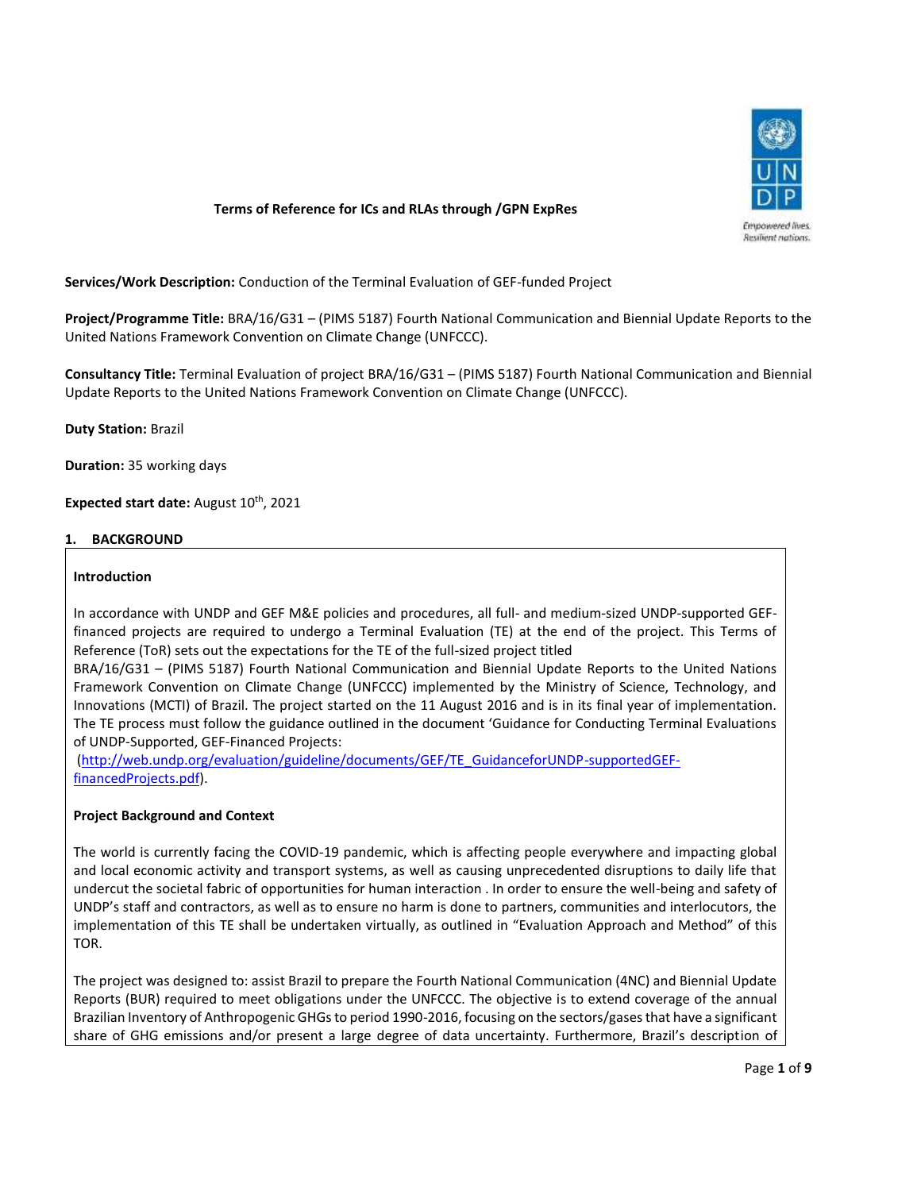

## **Terms of Reference for ICs and RLAs through /GPN ExpRes**

**Services/Work Description:** Conduction of the Terminal Evaluation of GEF-funded Project

**Project/Programme Title:** BRA/16/G31 – (PIMS 5187) Fourth National Communication and Biennial Update Reports to the United Nations Framework Convention on Climate Change (UNFCCC).

**Consultancy Title:** Terminal Evaluation of project BRA/16/G31 – (PIMS 5187) Fourth National Communication and Biennial Update Reports to the United Nations Framework Convention on Climate Change (UNFCCC).

**Duty Station:** Brazil

**Duration:** 35 working days

**Expected start date:** August 10<sup>th</sup>, 2021

### **1. BACKGROUND**

### **Introduction**

In accordance with UNDP and GEF M&E policies and procedures, all full- and medium-sized UNDP-supported GEFfinanced projects are required to undergo a Terminal Evaluation (TE) at the end of the project. This Terms of Reference (ToR) sets out the expectations for the TE of the full-sized project titled

BRA/16/G31 – (PIMS 5187) Fourth National Communication and Biennial Update Reports to the United Nations Framework Convention on Climate Change (UNFCCC) implemented by the Ministry of Science, Technology, and Innovations (MCTI) of Brazil. The project started on the 11 August 2016 and is in its final year of implementation. The TE process must follow the guidance outlined in the document 'Guidance for Conducting Terminal Evaluations of UNDP-Supported, GEF-Financed Projects:

[\(http://web.undp.org/evaluation/guideline/documents/GEF/TE\\_GuidanceforUNDP-supportedGEF](http://web.undp.org/evaluation/guideline/documents/GEF/TE_GuidanceforUNDP-supportedGEF-financedProjects.pdf)[financedProjects.pdf\)](http://web.undp.org/evaluation/guideline/documents/GEF/TE_GuidanceforUNDP-supportedGEF-financedProjects.pdf).

### **Project Background and Context**

The world is currently facing the COVID-19 pandemic, which is affecting people everywhere and impacting global and local economic activity and transport systems, as well as causing unprecedented disruptions to daily life that undercut the societal fabric of opportunities for human interaction . In order to ensure the well-being and safety of UNDP's staff and contractors, as well as to ensure no harm is done to partners, communities and interlocutors, the implementation of this TE shall be undertaken virtually, as outlined in "Evaluation Approach and Method" of this TOR.

The project was designed to: assist Brazil to prepare the Fourth National Communication (4NC) and Biennial Update Reports (BUR) required to meet obligations under the UNFCCC. The objective is to extend coverage of the annual Brazilian Inventory of Anthropogenic GHGs to period 1990-2016, focusing on the sectors/gases that have a significant share of GHG emissions and/or present a large degree of data uncertainty. Furthermore, Brazil's description of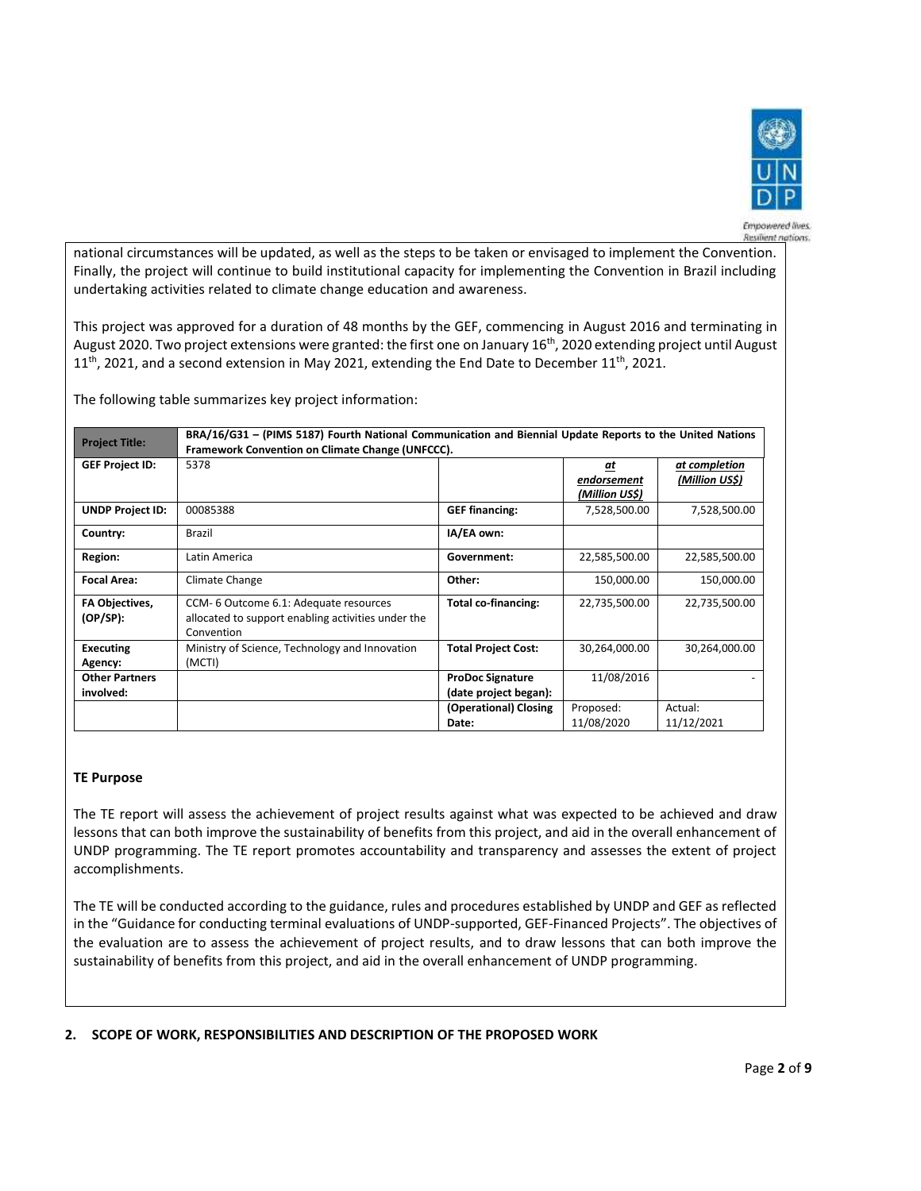

Empowered lives. **Resilient nations** 

national circumstances will be updated, as well as the steps to be taken or envisaged to implement the Convention. Finally, the project will continue to build institutional capacity for implementing the Convention in Brazil including undertaking activities related to climate change education and awareness.

This project was approved for a duration of 48 months by the GEF, commencing in August 2016 and terminating in August 2020. Two project extensions were granted: the first one on January 16<sup>th</sup>, 2020 extending project until August 11<sup>th</sup>, 2021, and a second extension in May 2021, extending the End Date to December 11<sup>th</sup>, 2021.

The following table summarizes key project information:

| <b>Project Title:</b>          | BRA/16/G31 - (PIMS 5187) Fourth National Communication and Biennial Update Reports to the United Nations |                            |                |                |  |
|--------------------------------|----------------------------------------------------------------------------------------------------------|----------------------------|----------------|----------------|--|
|                                | Framework Convention on Climate Change (UNFCCC).                                                         |                            |                |                |  |
| <b>GEF Project ID:</b><br>5378 |                                                                                                          |                            | at             | at completion  |  |
|                                |                                                                                                          |                            | endorsement    | (Million US\$) |  |
|                                |                                                                                                          |                            | (Million US\$) |                |  |
| <b>UNDP Project ID:</b>        | 00085388                                                                                                 | <b>GEF financing:</b>      | 7,528,500.00   | 7,528,500.00   |  |
| Country:                       | Brazil                                                                                                   | IA/EA own:                 |                |                |  |
| Region:                        | Latin America                                                                                            | Government:                | 22,585,500.00  | 22,585,500.00  |  |
| <b>Focal Area:</b>             | Climate Change                                                                                           | Other:                     | 150,000.00     | 150,000.00     |  |
| <b>FA Objectives,</b>          | CCM- 6 Outcome 6.1: Adequate resources                                                                   | <b>Total co-financing:</b> | 22,735,500.00  | 22,735,500.00  |  |
| $(OP/SP)$ :                    | allocated to support enabling activities under the                                                       |                            |                |                |  |
|                                | Convention                                                                                               |                            |                |                |  |
| <b>Executing</b>               | Ministry of Science, Technology and Innovation                                                           | <b>Total Project Cost:</b> | 30,264,000.00  | 30,264,000.00  |  |
| Agency:                        | (MCTI)                                                                                                   |                            |                |                |  |
| <b>Other Partners</b>          |                                                                                                          | <b>ProDoc Signature</b>    | 11/08/2016     |                |  |
| involved:                      |                                                                                                          | (date project began):      |                |                |  |
|                                |                                                                                                          | (Operational) Closing      | Proposed:      | Actual:        |  |
|                                |                                                                                                          | Date:                      | 11/08/2020     | 11/12/2021     |  |

## **TE Purpose**

The TE report will assess the achievement of project results against what was expected to be achieved and draw lessons that can both improve the sustainability of benefits from this project, and aid in the overall enhancement of UNDP programming. The TE report promotes accountability and transparency and assesses the extent of project accomplishments.

The TE will be conducted according to the guidance, rules and procedures established by UNDP and GEF as reflected in the "Guidance for conducting terminal evaluations of UNDP-supported, GEF-Financed Projects". The objectives of the evaluation are to assess the achievement of project results, and to draw lessons that can both improve the sustainability of benefits from this project, and aid in the overall enhancement of UNDP programming.

## **2. SCOPE OF WORK, RESPONSIBILITIES AND DESCRIPTION OF THE PROPOSED WORK**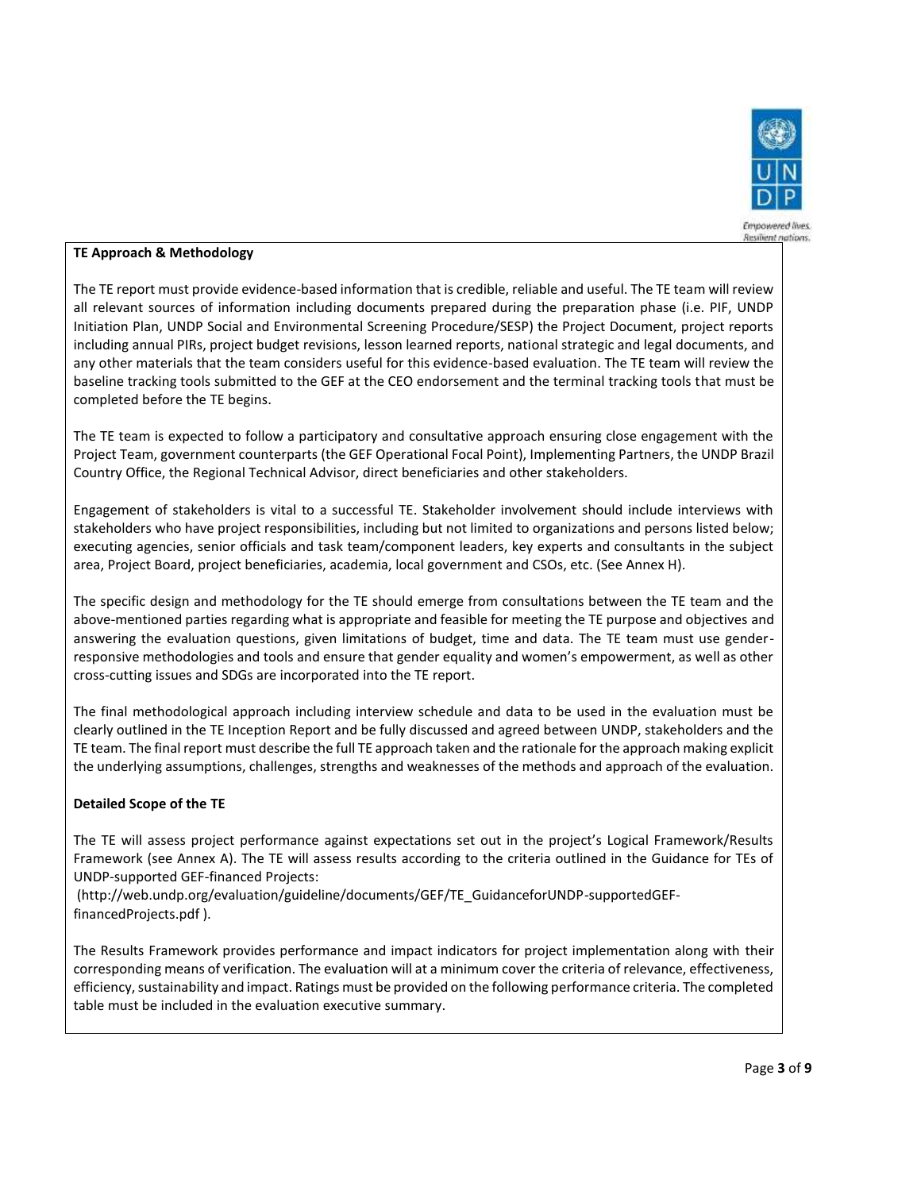

# **TE Approach & Methodology**

The TE report must provide evidence-based information that is credible, reliable and useful. The TE team will review all relevant sources of information including documents prepared during the preparation phase (i.e. PIF, UNDP Initiation Plan, UNDP Social and Environmental Screening Procedure/SESP) the Project Document, project reports including annual PIRs, project budget revisions, lesson learned reports, national strategic and legal documents, and any other materials that the team considers useful for this evidence-based evaluation. The TE team will review the baseline tracking tools submitted to the GEF at the CEO endorsement and the terminal tracking tools that must be completed before the TE begins.

The TE team is expected to follow a participatory and consultative approach ensuring close engagement with the Project Team, government counterparts (the GEF Operational Focal Point), Implementing Partners, the UNDP Brazil Country Office, the Regional Technical Advisor, direct beneficiaries and other stakeholders.

Engagement of stakeholders is vital to a successful TE. Stakeholder involvement should include interviews with stakeholders who have project responsibilities, including but not limited to organizations and persons listed below; executing agencies, senior officials and task team/component leaders, key experts and consultants in the subject area, Project Board, project beneficiaries, academia, local government and CSOs, etc. (See Annex H).

The specific design and methodology for the TE should emerge from consultations between the TE team and the above-mentioned parties regarding what is appropriate and feasible for meeting the TE purpose and objectives and answering the evaluation questions, given limitations of budget, time and data. The TE team must use genderresponsive methodologies and tools and ensure that gender equality and women's empowerment, as well as other cross-cutting issues and SDGs are incorporated into the TE report.

The final methodological approach including interview schedule and data to be used in the evaluation must be clearly outlined in the TE Inception Report and be fully discussed and agreed between UNDP, stakeholders and the TE team. The final report must describe the full TE approach taken and the rationale for the approach making explicit the underlying assumptions, challenges, strengths and weaknesses of the methods and approach of the evaluation.

## **Detailed Scope of the TE**

The TE will assess project performance against expectations set out in the project's Logical Framework/Results Framework (see Annex A). The TE will assess results according to the criteria outlined in the Guidance for TEs of UNDP-supported GEF-financed Projects:

(http://web.undp.org/evaluation/guideline/documents/GEF/TE\_GuidanceforUNDP-supportedGEFfinancedProjects.pdf ).

The Results Framework provides performance and impact indicators for project implementation along with their corresponding means of verification. The evaluation will at a minimum cover the criteria of relevance, effectiveness, efficiency, sustainability and impact. Ratings must be provided on the following performance criteria. The completed table must be included in the evaluation executive summary.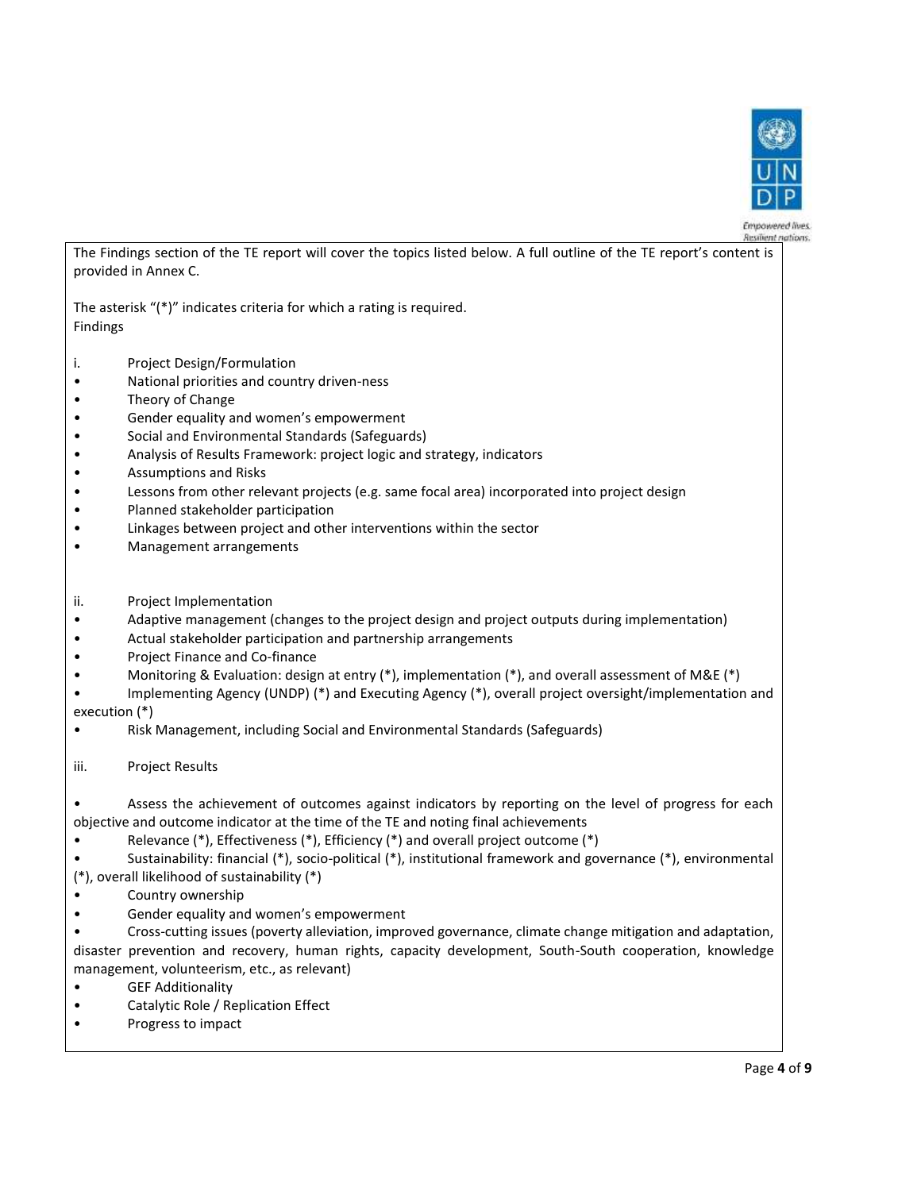

Empowered lives **Resident nations** 

The Findings section of the TE report will cover the topics listed below. A full outline of the TE report's content is provided in Annex C.

The asterisk "(\*)" indicates criteria for which a rating is required. Findings

- i. Project Design/Formulation
- National priorities and country driven-ness
- Theory of Change
- Gender equality and women's empowerment
- Social and Environmental Standards (Safeguards)
- Analysis of Results Framework: project logic and strategy, indicators
- Assumptions and Risks
- Lessons from other relevant projects (e.g. same focal area) incorporated into project design
- Planned stakeholder participation
- Linkages between project and other interventions within the sector
- Management arrangements
- ii. Project Implementation
- Adaptive management (changes to the project design and project outputs during implementation)
- Actual stakeholder participation and partnership arrangements
- Project Finance and Co-finance
- Monitoring & Evaluation: design at entry (\*), implementation (\*), and overall assessment of M&E (\*)
- Implementing Agency (UNDP) (\*) and Executing Agency (\*), overall project oversight/implementation and execution (\*)
- Risk Management, including Social and Environmental Standards (Safeguards)
- iii. Project Results

• Assess the achievement of outcomes against indicators by reporting on the level of progress for each objective and outcome indicator at the time of the TE and noting final achievements

• Relevance (\*), Effectiveness (\*), Efficiency (\*) and overall project outcome (\*)

• Sustainability: financial (\*), socio-political (\*), institutional framework and governance (\*), environmental (\*), overall likelihood of sustainability (\*)

- Country ownership
- Gender equality and women's empowerment

• Cross-cutting issues (poverty alleviation, improved governance, climate change mitigation and adaptation, disaster prevention and recovery, human rights, capacity development, South-South cooperation, knowledge management, volunteerism, etc., as relevant)

- GEF Additionality
- Catalytic Role / Replication Effect
- Progress to impact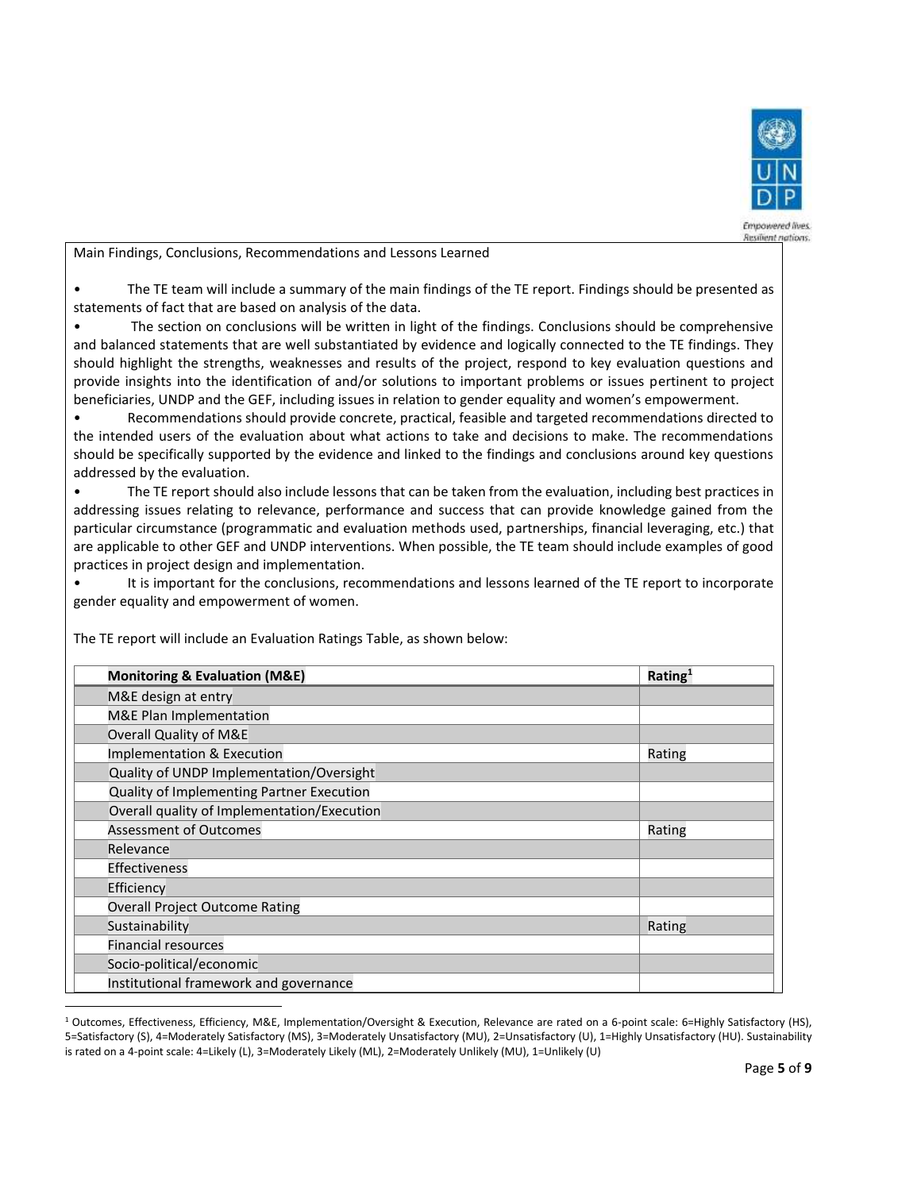

Empowered lives. **Resident nations** 

Main Findings, Conclusions, Recommendations and Lessons Learned

• The TE team will include a summary of the main findings of the TE report. Findings should be presented as statements of fact that are based on analysis of the data.

• The section on conclusions will be written in light of the findings. Conclusions should be comprehensive and balanced statements that are well substantiated by evidence and logically connected to the TE findings. They should highlight the strengths, weaknesses and results of the project, respond to key evaluation questions and provide insights into the identification of and/or solutions to important problems or issues pertinent to project beneficiaries, UNDP and the GEF, including issues in relation to gender equality and women's empowerment.

• Recommendations should provide concrete, practical, feasible and targeted recommendations directed to the intended users of the evaluation about what actions to take and decisions to make. The recommendations should be specifically supported by the evidence and linked to the findings and conclusions around key questions addressed by the evaluation.

• The TE report should also include lessons that can be taken from the evaluation, including best practices in addressing issues relating to relevance, performance and success that can provide knowledge gained from the particular circumstance (programmatic and evaluation methods used, partnerships, financial leveraging, etc.) that are applicable to other GEF and UNDP interventions. When possible, the TE team should include examples of good practices in project design and implementation.

It is important for the conclusions, recommendations and lessons learned of the TE report to incorporate gender equality and empowerment of women.

| <b>Monitoring &amp; Evaluation (M&amp;E)</b> | Rating <sup>1</sup> |
|----------------------------------------------|---------------------|
| M&E design at entry                          |                     |
| M&E Plan Implementation                      |                     |
| Overall Quality of M&E                       |                     |
| Implementation & Execution                   | Rating              |
| Quality of UNDP Implementation/Oversight     |                     |
| Quality of Implementing Partner Execution    |                     |
| Overall quality of Implementation/Execution  |                     |
| <b>Assessment of Outcomes</b>                | Rating              |
| Relevance                                    |                     |
| <b>Effectiveness</b>                         |                     |
| Efficiency                                   |                     |
| <b>Overall Project Outcome Rating</b>        |                     |
| Sustainability                               | Rating              |
| <b>Financial resources</b>                   |                     |
| Socio-political/economic                     |                     |
| Institutional framework and governance       |                     |

The TE report will include an Evaluation Ratings Table, as shown below:

<sup>1</sup> Outcomes, Effectiveness, Efficiency, M&E, Implementation/Oversight & Execution, Relevance are rated on a 6-point scale: 6=Highly Satisfactory (HS), 5=Satisfactory (S), 4=Moderately Satisfactory (MS), 3=Moderately Unsatisfactory (MU), 2=Unsatisfactory (U), 1=Highly Unsatisfactory (HU). Sustainability is rated on a 4-point scale: 4=Likely (L), 3=Moderately Likely (ML), 2=Moderately Unlikely (MU), 1=Unlikely (U)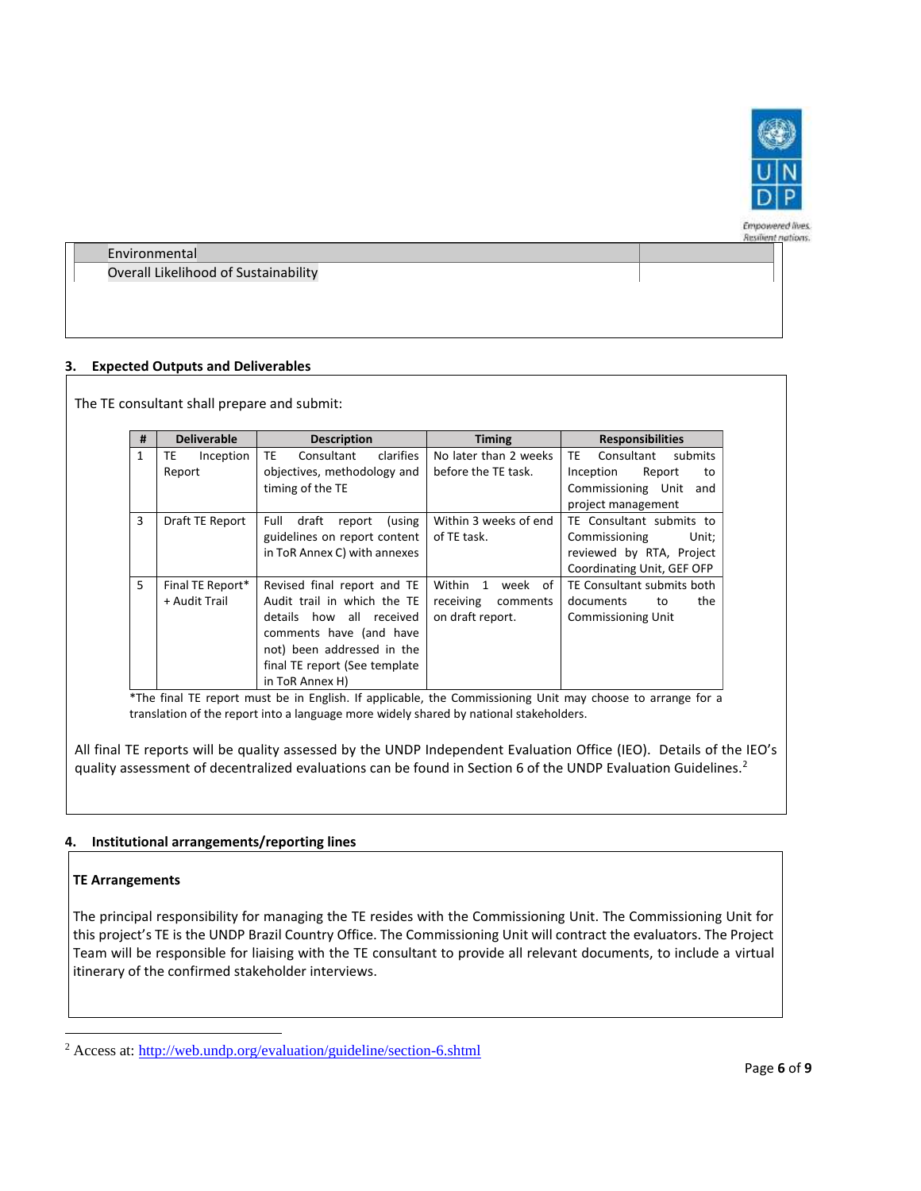

Empowered lives. **Resident nations.** 

Environmental Overall Likelihood of Sustainability

# **3. Expected Outputs and Deliverables**

The TE consultant shall prepare and submit:

| #            | <b>Deliverable</b> | <b>Description</b>                   | <b>Timing</b>         | <b>Responsibilities</b>      |  |
|--------------|--------------------|--------------------------------------|-----------------------|------------------------------|--|
| $\mathbf{1}$ | TE<br>Inception    | <b>TE</b><br>Consultant<br>clarifies | No later than 2 weeks | TE.<br>Consultant<br>submits |  |
|              | Report             | objectives, methodology and          | before the TE task.   | Inception<br>Report<br>to    |  |
|              |                    | timing of the TE                     |                       | Commissioning Unit<br>and    |  |
|              |                    |                                      |                       | project management           |  |
| 3            | Draft TE Report    | Full<br>draft<br>(using<br>report    | Within 3 weeks of end | TE Consultant submits to     |  |
|              |                    | guidelines on report content         | of TE task.           | Commissioning<br>Unit:       |  |
|              |                    | in ToR Annex C) with annexes         |                       | reviewed by RTA, Project     |  |
|              |                    |                                      |                       | Coordinating Unit, GEF OFP   |  |
| 5            | Final TE Report*   | Revised final report and TE          | week of<br>Within 1   | TE Consultant submits both   |  |
|              | + Audit Trail      | Audit trail in which the TE          | receiving<br>comments | documents<br>the<br>to       |  |
|              |                    | details how all received             | on draft report.      | <b>Commissioning Unit</b>    |  |
|              |                    | comments have (and have              |                       |                              |  |
|              |                    | not) been addressed in the           |                       |                              |  |
|              |                    | final TE report (See template        |                       |                              |  |
|              |                    | in ToR Annex H)                      |                       |                              |  |

\*The final TE report must be in English. If applicable, the Commissioning Unit may choose to arrange for a translation of the report into a language more widely shared by national stakeholders.

All final TE reports will be quality assessed by the UNDP Independent Evaluation Office (IEO). Details of the IEO's quality assessment of decentralized evaluations can be found in Section 6 of the UNDP Evaluation Guidelines.<sup>2</sup>

## **4. Institutional arrangements/reporting lines**

## **TE Arrangements**

The principal responsibility for managing the TE resides with the Commissioning Unit. The Commissioning Unit for this project's TE is the UNDP Brazil Country Office. The Commissioning Unit will contract the evaluators. The Project Team will be responsible for liaising with the TE consultant to provide all relevant documents, to include a virtual itinerary of the confirmed stakeholder interviews.

<sup>2</sup> Access at:<http://web.undp.org/evaluation/guideline/section-6.shtml>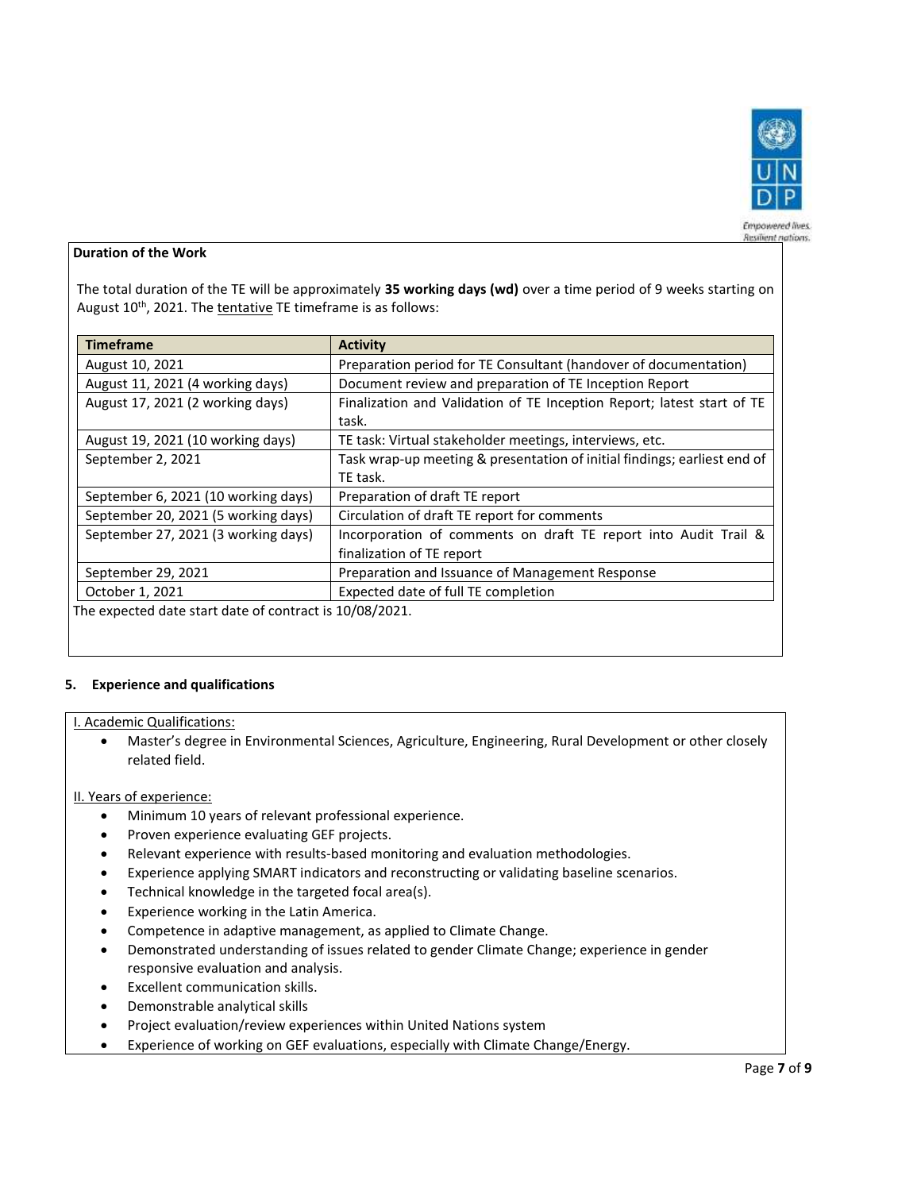

#### Empowered lives. **Resilient nations.**

## **Duration of the Work**

The total duration of the TE will be approximately **35 working days (wd)** over a time period of 9 weeks starting on August 10<sup>th</sup>, 2021. The tentative TE timeframe is as follows:

| <b>Timeframe</b>                                        | <b>Activity</b>                                                          |
|---------------------------------------------------------|--------------------------------------------------------------------------|
| August 10, 2021                                         | Preparation period for TE Consultant (handover of documentation)         |
| August 11, 2021 (4 working days)                        | Document review and preparation of TE Inception Report                   |
| August 17, 2021 (2 working days)                        | Finalization and Validation of TE Inception Report; latest start of TE   |
|                                                         | task.                                                                    |
| August 19, 2021 (10 working days)                       | TE task: Virtual stakeholder meetings, interviews, etc.                  |
| September 2, 2021                                       | Task wrap-up meeting & presentation of initial findings; earliest end of |
|                                                         | TE task.                                                                 |
| September 6, 2021 (10 working days)                     | Preparation of draft TE report                                           |
| September 20, 2021 (5 working days)                     | Circulation of draft TE report for comments                              |
| September 27, 2021 (3 working days)                     | Incorporation of comments on draft TE report into Audit Trail &          |
|                                                         | finalization of TE report                                                |
| September 29, 2021                                      | Preparation and Issuance of Management Response                          |
| October 1, 2021                                         | Expected date of full TE completion                                      |
| The expected date start date of contract is 10/08/2021. |                                                                          |

### **5. Experience and qualifications**

### I. Academic Qualifications:

• Master's degree in Environmental Sciences, Agriculture, Engineering, Rural Development or other closely related field.

### II. Years of experience:

- Minimum 10 years of relevant professional experience.
- Proven experience evaluating GEF projects.
- Relevant experience with results‐based monitoring and evaluation methodologies.
- Experience applying SMART indicators and reconstructing or validating baseline scenarios.
- Technical knowledge in the targeted focal area(s).
- Experience working in the Latin America.
- Competence in adaptive management, as applied to Climate Change.
- Demonstrated understanding of issues related to gender Climate Change; experience in gender responsive evaluation and analysis.
- Excellent communication skills.
- Demonstrable analytical skills
- Project evaluation/review experiences within United Nations system
- Experience of working on GEF evaluations, especially with Climate Change/Energy.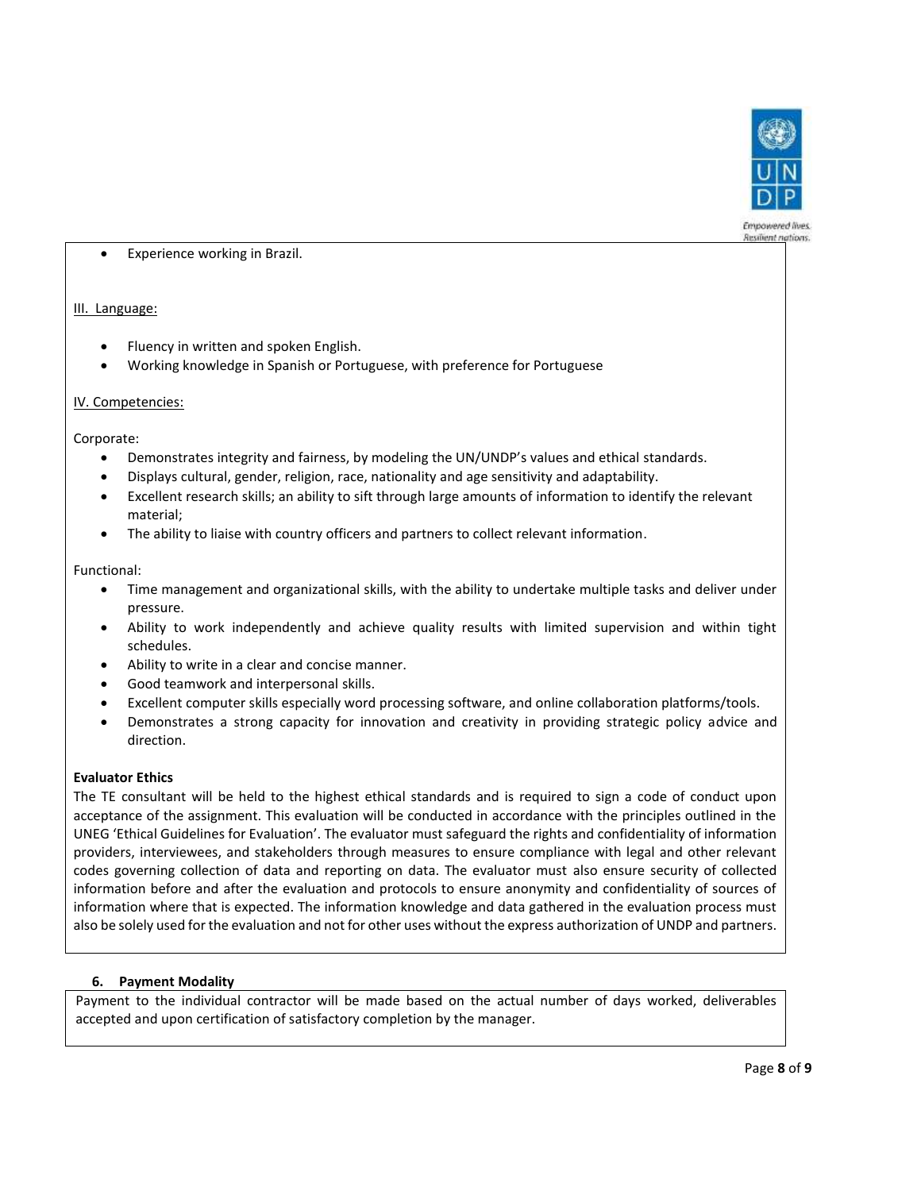

Experience working in Brazil.

## III. Language:

- Fluency in written and spoken English.
- Working knowledge in Spanish or Portuguese, with preference for Portuguese

### IV. Competencies:

Corporate:

- Demonstrates integrity and fairness, by modeling the UN/UNDP's values and ethical standards.
- Displays cultural, gender, religion, race, nationality and age sensitivity and adaptability.
- Excellent research skills; an ability to sift through large amounts of information to identify the relevant material;
- The ability to liaise with country officers and partners to collect relevant information.

Functional:

- Time management and organizational skills, with the ability to undertake multiple tasks and deliver under pressure.
- Ability to work independently and achieve quality results with limited supervision and within tight schedules.
- Ability to write in a clear and concise manner.
- Good teamwork and interpersonal skills.
- Excellent computer skills especially word processing software, and online collaboration platforms/tools.
- Demonstrates a strong capacity for innovation and creativity in providing strategic policy advice and direction.

### **Evaluator Ethics**

The TE consultant will be held to the highest ethical standards and is required to sign a code of conduct upon acceptance of the assignment. This evaluation will be conducted in accordance with the principles outlined in the UNEG 'Ethical Guidelines for Evaluation'. The evaluator must safeguard the rights and confidentiality of information providers, interviewees, and stakeholders through measures to ensure compliance with legal and other relevant codes governing collection of data and reporting on data. The evaluator must also ensure security of collected information before and after the evaluation and protocols to ensure anonymity and confidentiality of sources of information where that is expected. The information knowledge and data gathered in the evaluation process must also be solely used for the evaluation and not for other uses without the express authorization of UNDP and partners.

## **6. Payment Modality**

Payment to the individual contractor will be made based on the actual number of days worked, deliverables accepted and upon certification of satisfactory completion by the manager.